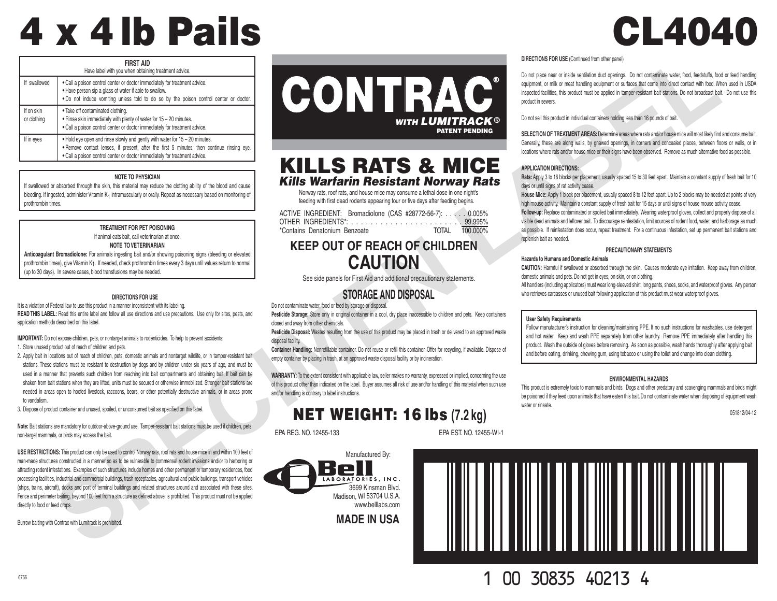# 4 x 4 lb Pails CL4040

| <b>FIRST AID</b><br>Have label with you when obtaining treatment advice. |                                                                                                                                                                                                                                                         |  |  |
|--------------------------------------------------------------------------|---------------------------------------------------------------------------------------------------------------------------------------------------------------------------------------------------------------------------------------------------------|--|--|
| If swallowed                                                             | . Call a poison control center or doctor immediately for treatment advice.<br>. Have person sip a glass of water if able to swallow.<br>. Do not induce vomiting unless told to do so by the poison control center or doctor.                           |  |  |
| If on skin<br>or clothing                                                | . Take off contaminated clothing.<br>. Rinse skin immediately with plenty of water for 15 - 20 minutes.<br>. Call a poison control center or doctor immediately for treatment advice.                                                                   |  |  |
| If in eyes                                                               | . Hold eye open and rinse slowly and gently with water for 15 – 20 minutes.<br>. Remove contact lenses, if present, after the first 5 minutes, then continue rinsing eye.<br>. Call a poison control center or doctor immediately for treatment advice. |  |  |

### **NOTE TO PHYSICIAN**

If swallowed or absorbed through the skin, this material may reduce the clotting ability of the blood and cause bleeding. If ingested, administer Vitamin K<sub>1</sub> intramuscularly or orally. Repeat as necessary based on monitoring of prothrombin times.

# **TREATMENT FOR PET POISONING**

If animal eats bait, call veterinarian at once.

## **NOTE TO VETERINARIAN**

**Anticoagulant Bromadiolone:** For animals ingesting bait and/or showing poisoning signs (bleeding or elevated prothrombin times), give Vitamin K1. If needed, check prothrombin times every 3 days until values return to normal (up to 30 days). In severe cases, blood transfusions may be needed.

### **DIRECTIONS FOR USE**

It is a violation of Federal law to use this product in a manner inconsistent with its labeling. **READ THIS LABEL:** Read this entire label and follow all use directions and use precautions. Use only for sites, pests, and application methods described on this label.

**IMPORTANT:** Do not expose children, pets, or nontarget animals to rodenticides. To help to prevent accidents:

1. Store unused product out of reach of children and pets.

- 2. Apply bait in locations out of reach of children, pets, domestic animals and nontarget wildlife, or in tamper-resistant bait stations. These stations must be resistant to destruction by dogs and by children under six years of age, and must be used in a manner that prevents such children from reaching into bait compartments and obtaining bait. If bait can be shaken from bait stations when they are lifted, units must be secured or otherwise immobilized. Stronger bait stations are needed in areas open to hoofed livestock, raccoons, bears, or other potentially destructive animals, or in areas prone to vandalism.
- 3. Dispose of product container and unused, spoiled, or unconsumed bait as specified on this label.

**Note:** Bait stations are mandatory for outdoor-above-ground use. Tamper-resistant bait stations must be used if children, pets, non-target mammals, or birds may access the bait.

**USE RESTRICTIONS:** This product can only be used to control Norway rats, roof rats and house mice in and within 100 feet of man-made structures constructed in a manner so as to be vulnerable to commensal rodent invasions and/or to harboring or attracting rodent infestations. Examples of such structures include homes and other permanent or temporary residences, food processing facilities, industrial and commercial buildings, trash receptacles, agricultural and public buildings, transport vehicles (ships, trains, aircraft), docks and port of terminal buildings and related structures around and associated with these sites. Fence and perimeter baiting, beyond 100 feet from a structure as defined above, is prohibited. This product must not be applied directly to food or feed crops. Example the material and the properties of the specific of the specific of the specific of the specific of the specific of the specific of the specific of the specific of the specific of the specific of the specific of the

Burrow baiting with Contrac with Lumitrack is prohibited.



# KILLS RATS & MICE *Kills Warfarin Resistant Norway Rats*

Norway rats, roof rats, and house mice may consume a lethal dose in one night's feeding with first dead rodents appearing four or five days after feeding begins.

ACTIVE INGREDIENT: Bromadiolone (CAS #28772-56-7): . . . . . 0.005% OTHER INGREDIENTS\*: . . . . . . . . . . . . . . . . . . . . . . . 99.995% \*Contains Denatonium Benzoate

# **KEEP OUT OF REACH OF CHILDREN CAUTION**

See side panels for First Aid and additional precautionary statements.

# **STORAGE AND DISPOSAL**

Do not contaminate water, food or feed by storage or disposal.

Pesticide Storage: Store only in original container in a cool, dry place inaccessible to children and pets. Keep containers closed and away from other chemicals.

**Pesticide Disposal:** Wastes resulting from the use of this product may be placed in trash or delivered to an approved waste disposal facility.

**Container Handling:** Nonrefillable container. Do not reuse or refill this container. Offer for recycling, if available. Dispose of empty container by placing in trash, at an approved waste disposal facility or by incineration.

**WARRANTY:** To the extent consistent with applicable law, seller makes no warranty, expressed or implied, concerning the use of this product other than indicated on the label. Buyer assumes all risk of use and/or handling of this material when such use and/or handling is contrary to label instructions.

# NET WEIGHT: 16 lbs **(7.2 kg)**

EPA REG. NO. 12455-133 EPA EST. NO. 12455-WI-1

Manufactured By: 3699 Kinsman Blvd. Madison, WI 53704 U.S.A. www.belllabs.com

**MADE IN USA**

### **DIRECTIONS FOR USE** (Continued from other panel)

Do not place near or inside ventilation duct openings. Do not contaminate water, food, feedstuffs, food or feed handling equipment, or milk or meat handling equipment or surfaces that come into direct contact with food. When used in USDA inspected facilities, this product must be applied in tamper-resistant bait stations. Do not broadcast bait. Do not use this product in sewers.

Do not sell this product in individual containers holding less than 16 pounds of bait.

**SELECTION OF TREATMENT AREAS:** Determine areas where rats and/or house mice will most likely find and consume bait. Generally, these are along walls, by gnawed openings, in corners and concealed places, between floors or walls, or in locations where rats and/or house mice or their signs have been observed. Remove as much alternative food as possible.

### **APPLICATION DIRECTIONS:**

**Rats:** Apply 3 to 16 blocks per placement, usually spaced 15 to 30 feet apart. Maintain a constant supply of fresh bait for 10 days or until signs of rat activity cease.

**House Mice:** Apply 1 block per placement, usually spaced 8 to 12 feet apart. Up to 2 blocks may be needed at points of very high mouse activity. Maintain a constant supply of fresh bait for 15 days or until signs of house mouse activity cease.

**Follow-up:** Replace contaminated or spoiled bait immediately. Wearing waterproof gloves, collect and properly dispose of all visible dead animals and leftover bait. To discourage reinfestation, limit sources of rodent food, water, and harborage as much as possible. If reinfestation does occur, repeat treatment. For a continuous infestation, set up permanent bait stations and replenish bait as needed. **DIRECTIONS FOR USE (Continued from other pane)**<br>
Do not place near or inside ventilation duct openings. Do not contaminate water, food, feedstuffs, food<br>
equipment, or milk or meat handling equipment or surfaces that come

### **PRECAUTIONARY STATEMENTS**

### **Hazards to Humans and Domestic Animals**

**CAUTION:** Harmful if swallowed or absorbed through the skin. Causes moderate eye irritation. Keep away from children, domestic animals and pets. Do not get in eyes, on skin, or on clothing.

All handlers (including applicators) must wear long-sleeved shirt, long pants, shoes, socks, and waterproof gloves. Any person who retrieves carcasses or unused bait following application of this product must wear waterproof gloves.

### **User Safety Requirements**

Follow manufacturer's instruction for cleaning/maintaining PPE. If no such instructions for washables, use detergent and hot water. Keep and wash PPE separately from other laundry. Remove PPE immediately after handling this product. Wash the outside of gloves before removing. As soon as possible, wash hands thoroughly after applying bait and before eating, drinking, chewing gum, using tobacco or using the toilet and change into clean clothing.

### **ENVIRONMENTAL HAZARDS**

This product is extremely toxic to mammals and birds. Dogs and other predatory and scavenging mammals and birds might be poisoned if they feed upon animals that have eaten this bait. Do not contaminate water when disposing of equipment wash water or rinsate

051812/04-12



<sup>6766</sup> 1 00 30835 40213 4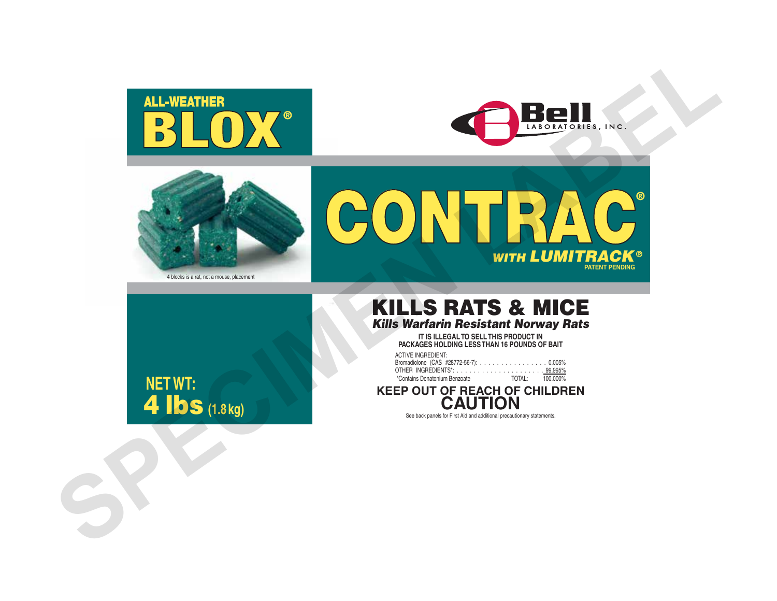



**WITH LUMITRACK<sup>®</sup>** 

**PATENT PENDING**

®



4 blocks is a rat, not a mouse, placement



# KILLS RATS & MICE *Kills Warfarin Resistant Norway Rats*

CONTRAC<sup>®</sup>

**IT IS ILLEGAL TO SELL THIS PRODUCT IN PACKAGES HOLDING LESS THAN 16 POUNDS OF BAIT**

| <b>ACTIVE INGREDIENT:</b>              |                 |
|----------------------------------------|-----------------|
| Bromadiolone (CAS #28772-56-7): 0.005% |                 |
|                                        |                 |
| *Contains Denatonium Benzoate          | TOTAL: 100.000% |

**KEEP OUT OF REACH OF CHILDREN ON** 

See back panels for First Aid and additional precautionary statements.